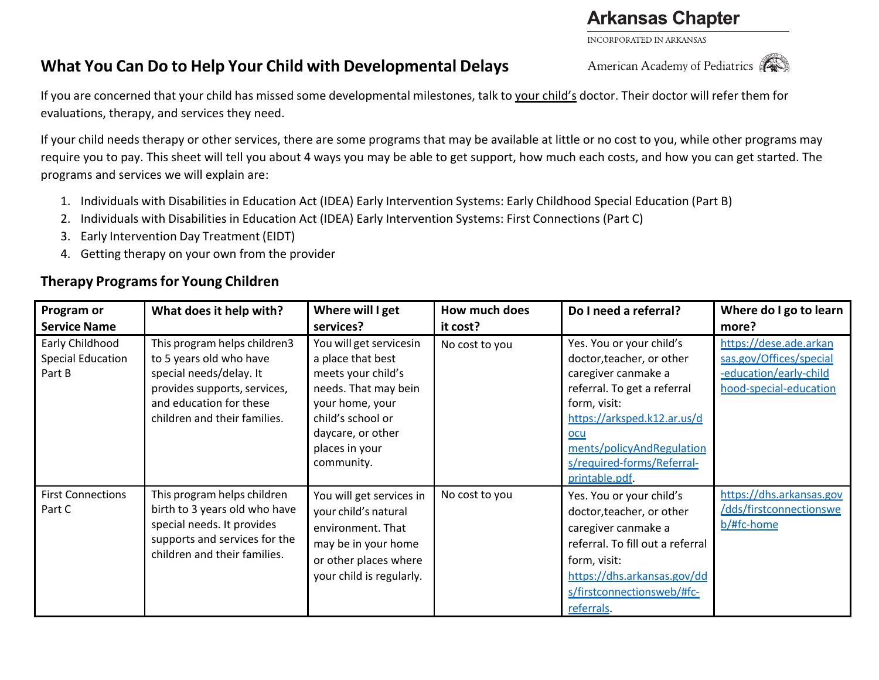## **Arkansas Chapter**

INCORPORATED IN ARKANSAS

## **What You Can Do to Help Your Child with Developmental Delays**

If you are concerned that your child has missed some developmental milestones, talk to your child's doctor. Their doctor will refer them for evaluations, therapy, and services they need.

If your child needs therapy or other services, there are some programs that may be available at little or no cost to you, while other programs may require you to pay. This sheet will tell you about 4 ways you may be able to get support, how much each costs, and how you can get started. The programs and services we will explain are:

- 1. Individuals with Disabilities in Education Act (IDEA) Early Intervention Systems: Early Childhood Special Education (Part B)
- 2. Individuals with Disabilities in Education Act (IDEA) Early Intervention Systems: First Connections (Part C)
- 3. Early Intervention Day Treatment (EIDT)
- 4. Getting therapy on your own from the provider

## **Therapy Programsfor Young Children**

| Program or<br><b>Service Name</b>                     | What does it help with?                                                                                                                                                       | Where will I get<br>services?                                                                                                                                                           | How much does<br>it cost? | Do I need a referral?                                                                                                                                                                                                                                 | Where do I go to learn<br>more?                                                                       |
|-------------------------------------------------------|-------------------------------------------------------------------------------------------------------------------------------------------------------------------------------|-----------------------------------------------------------------------------------------------------------------------------------------------------------------------------------------|---------------------------|-------------------------------------------------------------------------------------------------------------------------------------------------------------------------------------------------------------------------------------------------------|-------------------------------------------------------------------------------------------------------|
| Early Childhood<br><b>Special Education</b><br>Part B | This program helps children3<br>to 5 years old who have<br>special needs/delay. It<br>provides supports, services,<br>and education for these<br>children and their families. | You will get servicesin<br>a place that best<br>meets your child's<br>needs. That may bein<br>your home, your<br>child's school or<br>daycare, or other<br>places in your<br>community. | No cost to you            | Yes. You or your child's<br>doctor, teacher, or other<br>caregiver canmake a<br>referral. To get a referral<br>form, visit:<br>https://arksped.k12.ar.us/d<br><u>ocu</u><br>ments/policyAndRegulation<br>s/required-forms/Referral-<br>printable.pdf. | https://dese.ade.arkan<br>sas.gov/Offices/special<br>-education/early-child<br>hood-special-education |
| <b>First Connections</b><br>Part C                    | This program helps children<br>birth to 3 years old who have<br>special needs. It provides<br>supports and services for the<br>children and their families.                   | You will get services in<br>your child's natural<br>environment. That<br>may be in your home<br>or other places where<br>your child is regularly.                                       | No cost to you            | Yes. You or your child's<br>doctor, teacher, or other<br>caregiver canmake a<br>referral. To fill out a referral<br>form, visit:<br>https://dhs.arkansas.gov/dd<br>s/firstconnectionsweb/#fc-<br>referrals.                                           | https://dhs.arkansas.gov<br>/dds/firstconnectionswe<br>$b/\text{ffc-home}$                            |